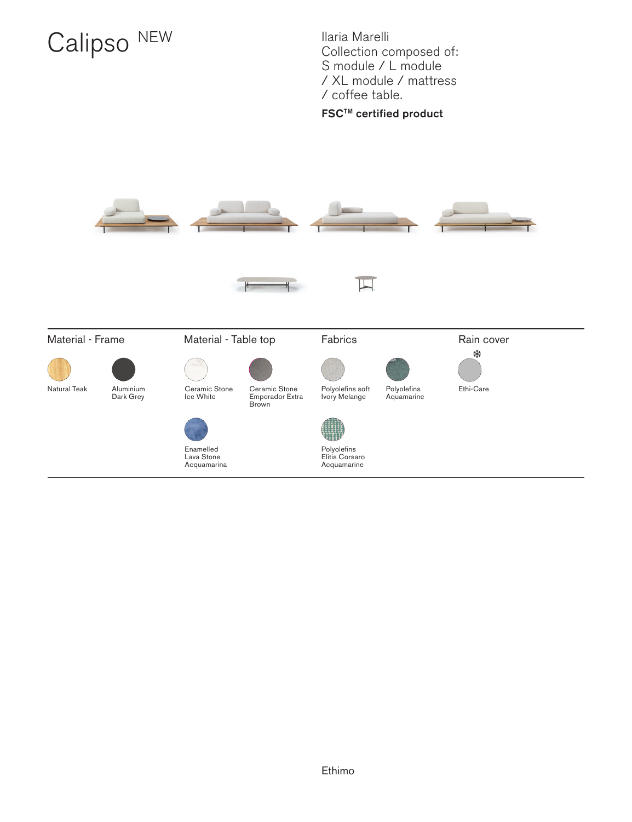# Calipso NEW Ilaria Marelli

Collection composed of: S module / L module / XL module / mattress / coffee table.

#### FSCTM certified product

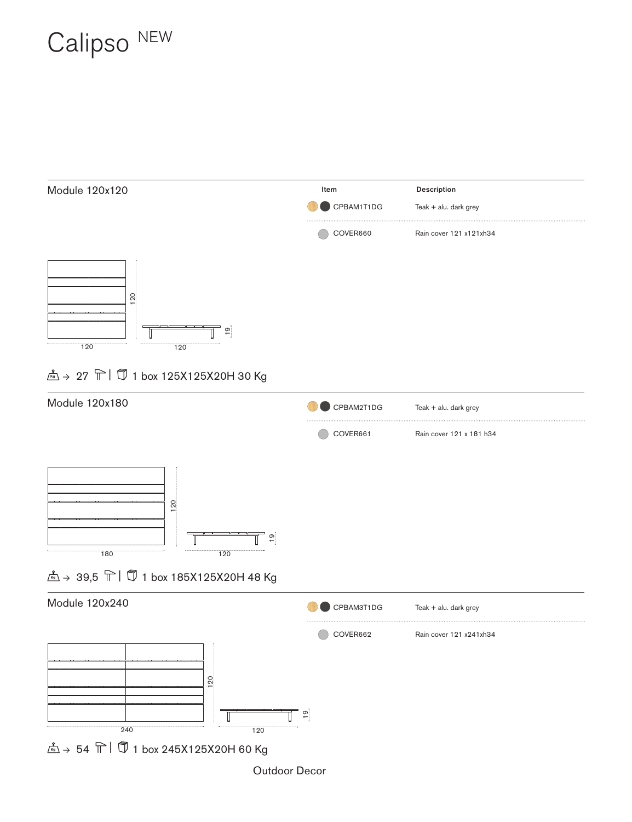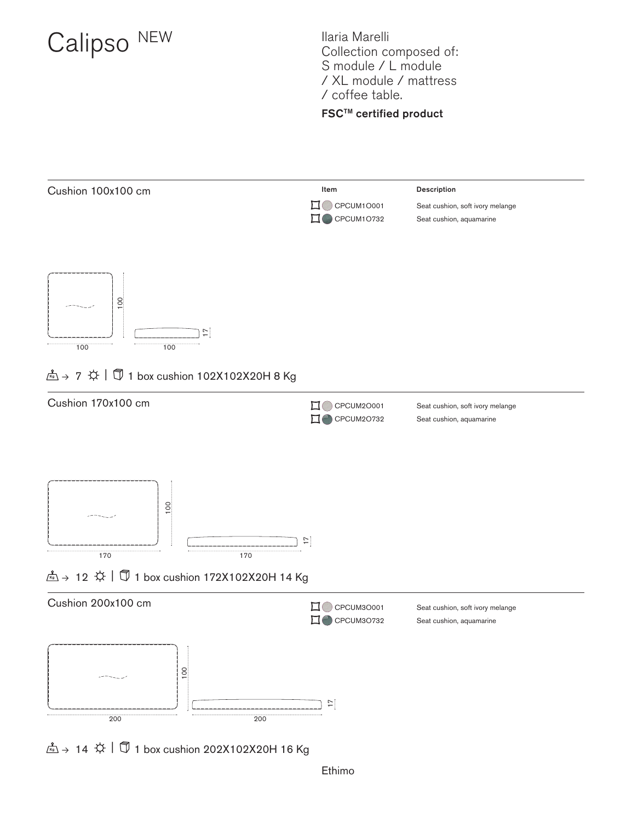Ilaria Marelli Collection composed of: S module / L module / XL module / mattress / coffee table.

#### **FSC™** certified product





 $\frac{2}{100}$   $\rightarrow$  7  $\overleftrightarrow{\varphi}$  |  $\overline{\mathbb{U}}$  1 box cushion 102X102X20H 8 Kg



 $\hat{K}$  + 14  $\hat{\varphi}$  |  $\hat{\mathbb{U}}$  1 box cushion 202X102X20H 16 Kg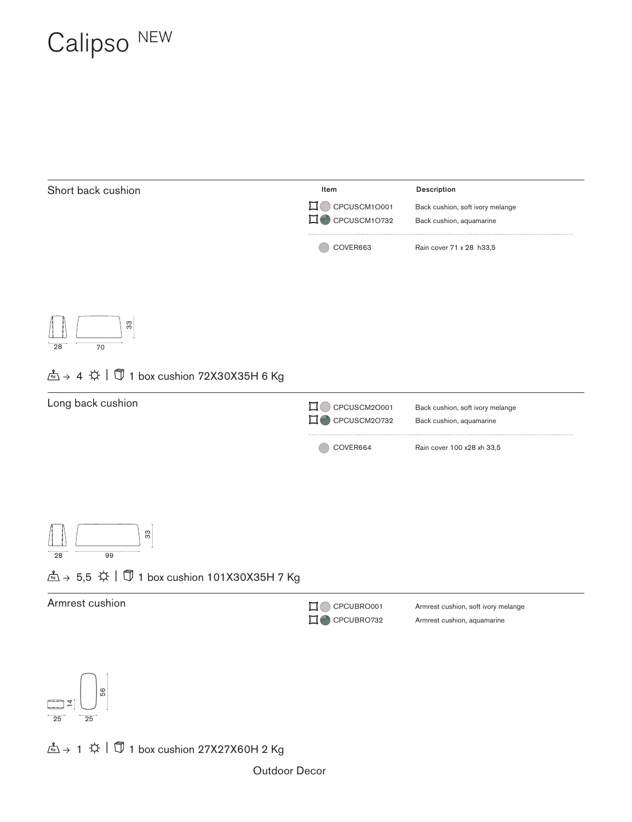

Outdoor Decor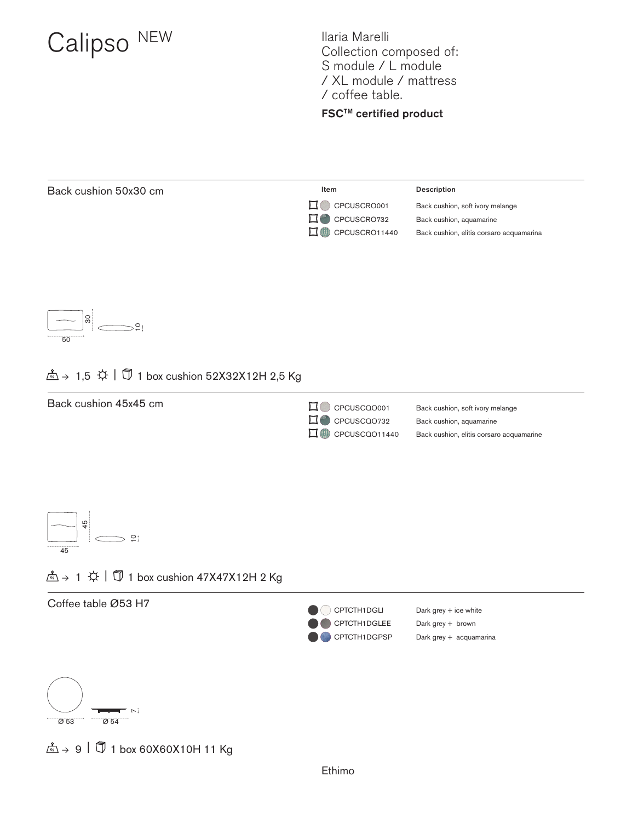Ilaria Marelli Collection composed of: S module / L module / XL module / mattress / coffee table.

#### FSCTM certified product





CPCUSCRO001 Back cushion, soft ivory melange CPCUSCRO732 Back cushion, aquamarine CPCUSCRO11440 Back cushion, elitis corsaro acquamarina



#### $\frac{2}{\sqrt{5}}$   $\rightarrow$  1,5  $\overleftrightarrow{\downarrow}$  |  $\overline{\mathbb{Q}}$  1 box cushion 52X32X12H 2,5 Kg





#### $\frac{2}{\sqrt{5}}$  → 1  $\circledX$  |  $\circledB$  1 box cushion 47X47X12H 2 Kg

Coffee table Ø53 H7





 $\frac{2}{\sqrt{6}}$   $\rightarrow$  9  $\left| \frac{1}{\sqrt{2}} \right|$  1 box 60X60X10H 11 Kg

Ethimo